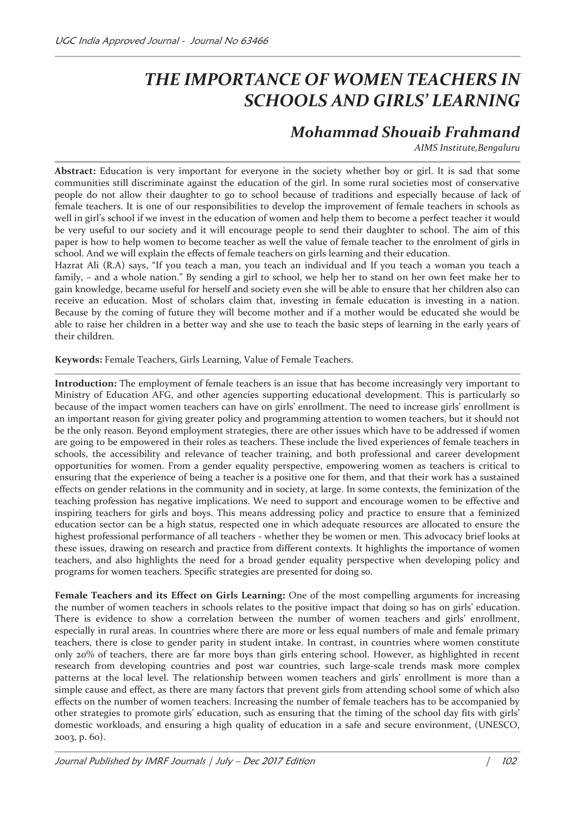## *THE IMPORTANCE OF WOMEN TEACHERS IN SCHOOLS AND GIRLS' LEARNING*

## *Mohammad Shouaib Frahmand*

*AIMS Institute,Bengaluru* 

**Abstract:** Education is very important for everyone in the society whether boy or girl. It is sad that some communities still discriminate against the education of the girl. In some rural societies most of conservative people do not allow their daughter to go to school because of traditions and especially because of lack of female teachers. It is one of our responsibilities to develop the improvement of female teachers in schools as well in girl's school if we invest in the education of women and help them to become a perfect teacher it would be very useful to our society and it will encourage people to send their daughter to school. The aim of this paper is how to help women to become teacher as well the value of female teacher to the enrolment of girls in school. And we will explain the effects of female teachers on girls learning and their education.

Hazrat Ali (R.A) says, "If you teach a man, you teach an individual and If you teach a woman you teach a family, – and a whole nation." By sending a girl to school, we help her to stand on her own feet make her to gain knowledge, became useful for herself and society even she will be able to ensure that her children also can receive an education. Most of scholars claim that, investing in female education is investing in a nation. Because by the coming of future they will become mother and if a mother would be educated she would be able to raise her children in a better way and she use to teach the basic steps of learning in the early years of their children.

**Keywords:** Female Teachers, Girls Learning, Value of Female Teachers.

**Introduction:** The employment of female teachers is an issue that has become increasingly very important to Ministry of Education AFG, and other agencies supporting educational development. This is particularly so because of the impact women teachers can have on girls' enrollment. The need to increase girls' enrollment is an important reason for giving greater policy and programming attention to women teachers, but it should not be the only reason. Beyond employment strategies, there are other issues which have to be addressed if women are going to be empowered in their roles as teachers. These include the lived experiences of female teachers in schools, the accessibility and relevance of teacher training, and both professional and career development opportunities for women. From a gender equality perspective, empowering women as teachers is critical to ensuring that the experience of being a teacher is a positive one for them, and that their work has a sustained effects on gender relations in the community and in society, at large. In some contexts, the feminization of the teaching profession has negative implications. We need to support and encourage women to be effective and inspiring teachers for girls and boys. This means addressing policy and practice to ensure that a feminized education sector can be a high status, respected one in which adequate resources are allocated to ensure the highest professional performance of all teachers - whether they be women or men. This advocacy brief looks at these issues, drawing on research and practice from different contexts. It highlights the importance of women teachers, and also highlights the need for a broad gender equality perspective when developing policy and programs for women teachers. Specific strategies are presented for doing so.

**Female Teachers and its Effect on Girls Learning:** One of the most compelling arguments for increasing the number of women teachers in schools relates to the positive impact that doing so has on girls' education. There is evidence to show a correlation between the number of women teachers and girls' enrollment, especially in rural areas. In countries where there are more or less equal numbers of male and female primary teachers, there is close to gender parity in student intake. In contrast, in countries where women constitute only 20% of teachers, there are far more boys than girls entering school. However, as highlighted in recent research from developing countries and post war countries, such large-scale trends mask more complex patterns at the local level. The relationship between women teachers and girls' enrollment is more than a simple cause and effect, as there are many factors that prevent girls from attending school some of which also effects on the number of women teachers. Increasing the number of female teachers has to be accompanied by other strategies to promote girls' education, such as ensuring that the timing of the school day fits with girls' domestic workloads, and ensuring a high quality of education in a safe and secure environment, (UNESCO, 2003, p. 60).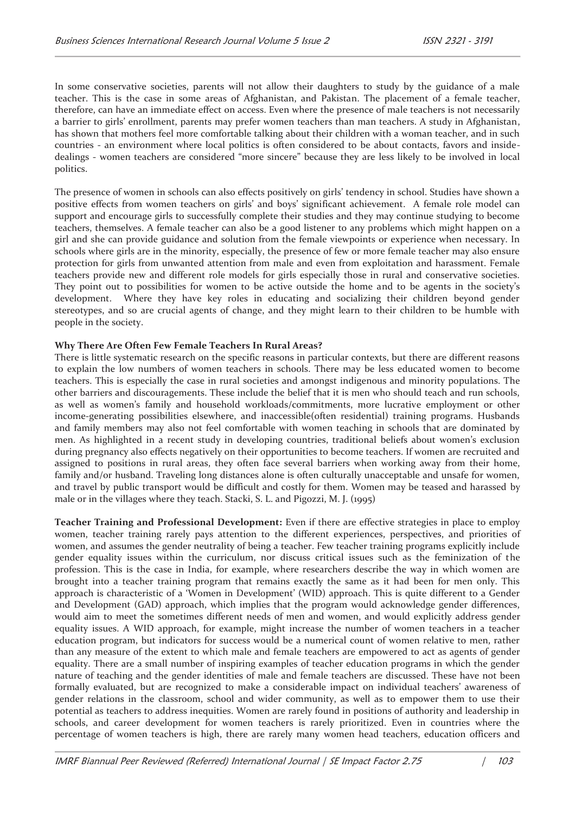In some conservative societies, parents will not allow their daughters to study by the guidance of a male teacher. This is the case in some areas of Afghanistan, and Pakistan. The placement of a female teacher, therefore, can have an immediate effect on access. Even where the presence of male teachers is not necessarily a barrier to girls' enrollment, parents may prefer women teachers than man teachers. A study in Afghanistan, has shown that mothers feel more comfortable talking about their children with a woman teacher, and in such countries - an environment where local politics is often considered to be about contacts, favors and insidedealings - women teachers are considered "more sincere" because they are less likely to be involved in local politics.

The presence of women in schools can also effects positively on girls' tendency in school. Studies have shown a positive effects from women teachers on girls' and boys' significant achievement. A female role model can support and encourage girls to successfully complete their studies and they may continue studying to become teachers, themselves. A female teacher can also be a good listener to any problems which might happen on a girl and she can provide guidance and solution from the female viewpoints or experience when necessary. In schools where girls are in the minority, especially, the presence of few or more female teacher may also ensure protection for girls from unwanted attention from male and even from exploitation and harassment. Female teachers provide new and different role models for girls especially those in rural and conservative societies. They point out to possibilities for women to be active outside the home and to be agents in the society's development. Where they have key roles in educating and socializing their children beyond gender stereotypes, and so are crucial agents of change, and they might learn to their children to be humble with people in the society.

## **Why There Are Often Few Female Teachers In Rural Areas?**

There is little systematic research on the specific reasons in particular contexts, but there are different reasons to explain the low numbers of women teachers in schools. There may be less educated women to become teachers. This is especially the case in rural societies and amongst indigenous and minority populations. The other barriers and discouragements. These include the belief that it is men who should teach and run schools, as well as women's family and household workloads/commitments, more lucrative employment or other income-generating possibilities elsewhere, and inaccessible(often residential) training programs. Husbands and family members may also not feel comfortable with women teaching in schools that are dominated by men. As highlighted in a recent study in developing countries, traditional beliefs about women's exclusion during pregnancy also effects negatively on their opportunities to become teachers. If women are recruited and assigned to positions in rural areas, they often face several barriers when working away from their home, family and/or husband. Traveling long distances alone is often culturally unacceptable and unsafe for women, and travel by public transport would be difficult and costly for them. Women may be teased and harassed by male or in the villages where they teach. Stacki, S. L. and Pigozzi, M. J. (1995)

**Teacher Training and Professional Development:** Even if there are effective strategies in place to employ women, teacher training rarely pays attention to the different experiences, perspectives, and priorities of women, and assumes the gender neutrality of being a teacher. Few teacher training programs explicitly include gender equality issues within the curriculum, nor discuss critical issues such as the feminization of the profession. This is the case in India, for example, where researchers describe the way in which women are brought into a teacher training program that remains exactly the same as it had been for men only. This approach is characteristic of a 'Women in Development' (WID) approach. This is quite different to a Gender and Development (GAD) approach, which implies that the program would acknowledge gender differences, would aim to meet the sometimes different needs of men and women, and would explicitly address gender equality issues. A WID approach, for example, might increase the number of women teachers in a teacher education program, but indicators for success would be a numerical count of women relative to men, rather than any measure of the extent to which male and female teachers are empowered to act as agents of gender equality. There are a small number of inspiring examples of teacher education programs in which the gender nature of teaching and the gender identities of male and female teachers are discussed. These have not been formally evaluated, but are recognized to make a considerable impact on individual teachers' awareness of gender relations in the classroom, school and wider community, as well as to empower them to use their potential as teachers to address inequities. Women are rarely found in positions of authority and leadership in schools, and career development for women teachers is rarely prioritized. Even in countries where the percentage of women teachers is high, there are rarely many women head teachers, education officers and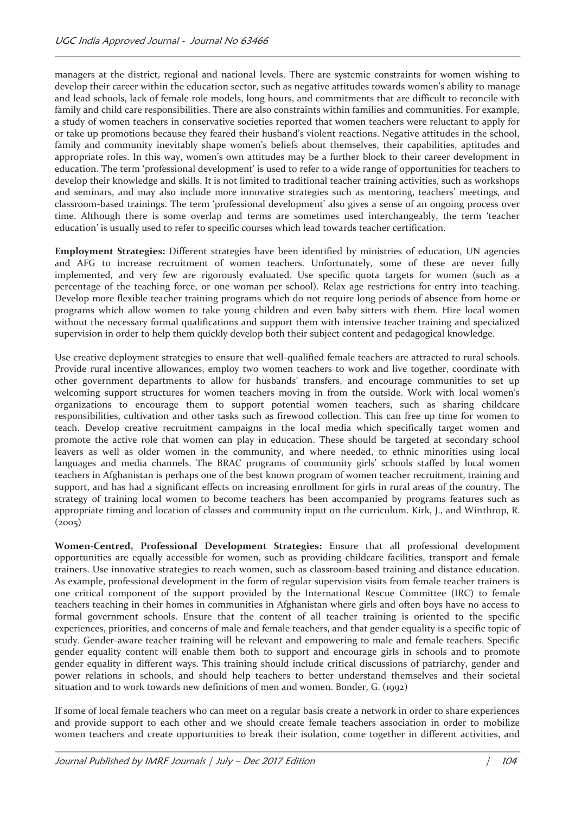managers at the district, regional and national levels. There are systemic constraints for women wishing to develop their career within the education sector, such as negative attitudes towards women's ability to manage and lead schools, lack of female role models, long hours, and commitments that are difficult to reconcile with family and child care responsibilities. There are also constraints within families and communities. For example, a study of women teachers in conservative societies reported that women teachers were reluctant to apply for or take up promotions because they feared their husband's violent reactions. Negative attitudes in the school, family and community inevitably shape women's beliefs about themselves, their capabilities, aptitudes and appropriate roles. In this way, women's own attitudes may be a further block to their career development in education. The term 'professional development' is used to refer to a wide range of opportunities for teachers to develop their knowledge and skills. It is not limited to traditional teacher training activities, such as workshops and seminars, and may also include more innovative strategies such as mentoring, teachers' meetings, and classroom-based trainings. The term 'professional development' also gives a sense of an ongoing process over time. Although there is some overlap and terms are sometimes used interchangeably, the term 'teacher education' is usually used to refer to specific courses which lead towards teacher certification.

**Employment Strategies:** Different strategies have been identified by ministries of education, UN agencies and AFG to increase recruitment of women teachers. Unfortunately, some of these are never fully implemented, and very few are rigorously evaluated. Use specific quota targets for women (such as a percentage of the teaching force, or one woman per school). Relax age restrictions for entry into teaching. Develop more flexible teacher training programs which do not require long periods of absence from home or programs which allow women to take young children and even baby sitters with them. Hire local women without the necessary formal qualifications and support them with intensive teacher training and specialized supervision in order to help them quickly develop both their subject content and pedagogical knowledge.

Use creative deployment strategies to ensure that well-qualified female teachers are attracted to rural schools. Provide rural incentive allowances, employ two women teachers to work and live together, coordinate with other government departments to allow for husbands' transfers, and encourage communities to set up welcoming support structures for women teachers moving in from the outside. Work with local women's organizations to encourage them to support potential women teachers, such as sharing childcare responsibilities, cultivation and other tasks such as firewood collection. This can free up time for women to teach. Develop creative recruitment campaigns in the local media which specifically target women and promote the active role that women can play in education. These should be targeted at secondary school leavers as well as older women in the community, and where needed, to ethnic minorities using local languages and media channels. The BRAC programs of community girls' schools staffed by local women teachers in Afghanistan is perhaps one of the best known program of women teacher recruitment, training and support, and has had a significant effects on increasing enrollment for girls in rural areas of the country. The strategy of training local women to become teachers has been accompanied by programs features such as appropriate timing and location of classes and community input on the curriculum. Kirk, J., and Winthrop, R.  $(2005)$ 

**Women-Centred, Professional Development Strategies:** Ensure that all professional development opportunities are equally accessible for women, such as providing childcare facilities, transport and female trainers. Use innovative strategies to reach women, such as classroom-based training and distance education. As example, professional development in the form of regular supervision visits from female teacher trainers is one critical component of the support provided by the International Rescue Committee (IRC) to female teachers teaching in their homes in communities in Afghanistan where girls and often boys have no access to formal government schools. Ensure that the content of all teacher training is oriented to the specific experiences, priorities, and concerns of male and female teachers, and that gender equality is a specific topic of study. Gender-aware teacher training will be relevant and empowering to male and female teachers. Specific gender equality content will enable them both to support and encourage girls in schools and to promote gender equality in different ways. This training should include critical discussions of patriarchy, gender and power relations in schools, and should help teachers to better understand themselves and their societal situation and to work towards new definitions of men and women. Bonder, G. (1992)

If some of local female teachers who can meet on a regular basis create a network in order to share experiences and provide support to each other and we should create female teachers association in order to mobilize women teachers and create opportunities to break their isolation, come together in different activities, and